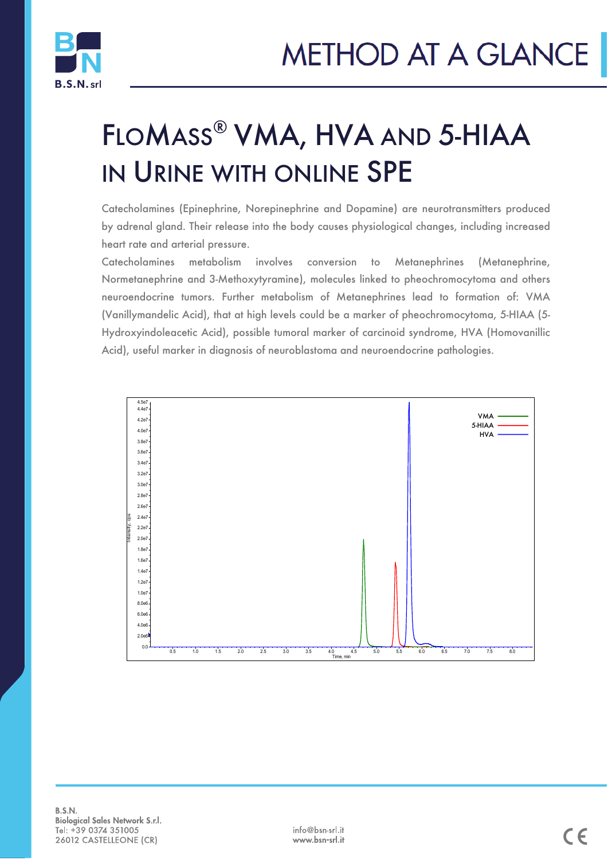

# FLOMASS® VMA, HVA AND 5-HIAA IN URINE WITH ONLINE SPE

Catecholamines (Epinephrine, Norepinephrine and Dopamine) are neurotransmitters produced by adrenal gland. Their release into the body causes physiological changes, including increased heart rate and arterial pressure.

Catecholamines metabolism involves conversion to Metanephrines (Metanephrine, Normetanephrine and 3-Methoxytyramine), molecules linked to pheochromocytoma and others neuroendocrine tumors. Further metabolism of Metanephrines lead to formation of: VMA (Vanillymandelic Acid), that at high levels could be a marker of pheochromocytoma, 5-HIAA (5- Hydroxyindoleacetic Acid), possible tumoral marker of carcinoid syndrome, HVA (Homovanillic Acid), useful marker in diagnosis of neuroblastoma and neuroendocrine pathologies.



 $\star$ B.S.N. Lab $\star$ B.S.N. Lab